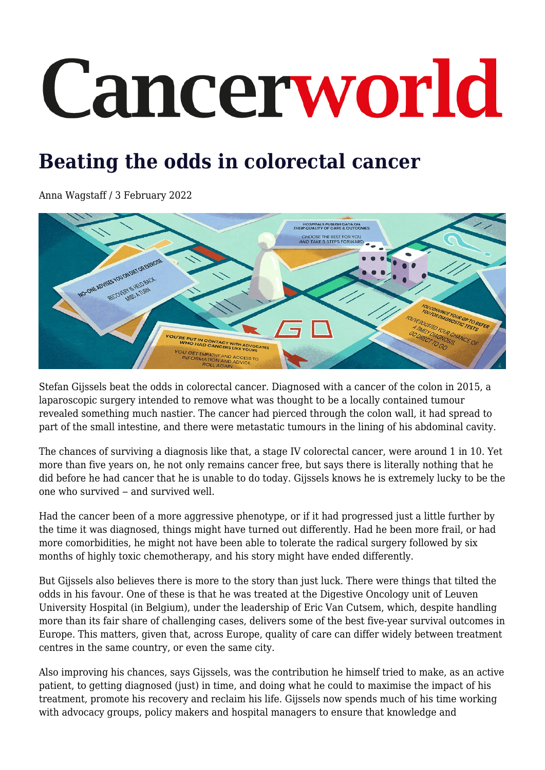# Cancerworld

# **Beating the odds in colorectal cancer**

Anna Wagstaff / 3 February 2022



Stefan Gijssels beat the odds in colorectal cancer. Diagnosed with a cancer of the colon in 2015, a laparoscopic surgery intended to remove what was thought to be a locally contained tumour revealed something much nastier. The cancer had pierced through the colon wall, it had spread to part of the small intestine, and there were metastatic tumours in the lining of his abdominal cavity.

The chances of surviving a diagnosis like that, a stage IV colorectal cancer, were around 1 in 10. Yet more than five years on, he not only remains cancer free, but says there is literally nothing that he did before he had cancer that he is unable to do today. Gijssels knows he is extremely lucky to be the one who survived  $-$  and survived well.

Had the cancer been of a more aggressive phenotype, or if it had progressed just a little further by the time it was diagnosed, things might have turned out differently. Had he been more frail, or had more comorbidities, he might not have been able to tolerate the radical surgery followed by six months of highly toxic chemotherapy, and his story might have ended differently.

But Gijssels also believes there is more to the story than just luck. There were things that tilted the odds in his favour. One of these is that he was treated at the Digestive Oncology unit of Leuven University Hospital (in Belgium), under the leadership of Eric Van Cutsem, which, despite handling more than its fair share of challenging cases, delivers some of the best five-year survival outcomes in Europe. This matters, given that, across Europe, quality of care can differ widely between treatment centres in the same country, or even the same city.

Also improving his chances, says Gijssels, was the contribution he himself tried to make, as an active patient, to getting diagnosed (just) in time, and doing what he could to maximise the impact of his treatment, promote his recovery and reclaim his life. Gijssels now spends much of his time working with advocacy groups, policy makers and hospital managers to ensure that knowledge and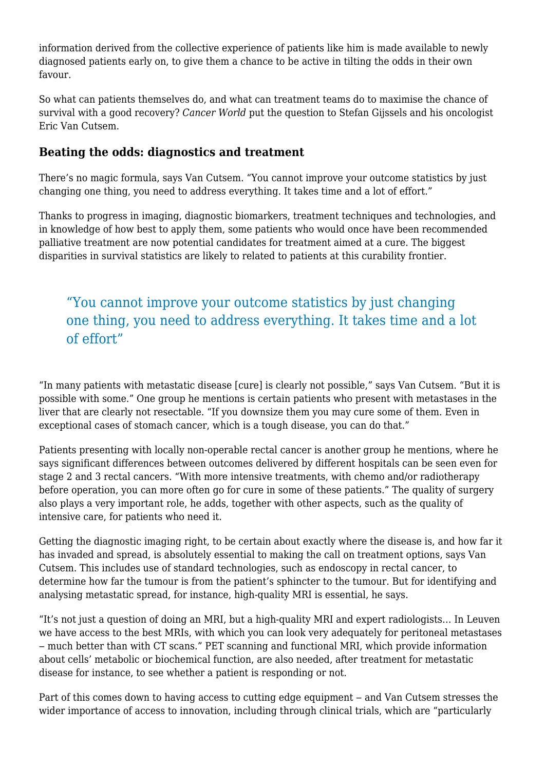information derived from the collective experience of patients like him is made available to newly diagnosed patients early on, to give them a chance to be active in tilting the odds in their own favour.

So what can patients themselves do, and what can treatment teams do to maximise the chance of survival with a good recovery? *Cancer World* put the question to Stefan Gijssels and his oncologist Eric Van Cutsem.

## **Beating the odds: diagnostics and treatment**

There's no magic formula, says Van Cutsem. "You cannot improve your outcome statistics by just changing one thing, you need to address everything. It takes time and a lot of effort."

Thanks to progress in imaging, diagnostic biomarkers, treatment techniques and technologies, and in knowledge of how best to apply them, some patients who would once have been recommended palliative treatment are now potential candidates for treatment aimed at a cure. The biggest disparities in survival statistics are likely to related to patients at this curability frontier.

# "You cannot improve your outcome statistics by just changing one thing, you need to address everything. It takes time and a lot of effort"

"In many patients with metastatic disease [cure] is clearly not possible," says Van Cutsem. "But it is possible with some." One group he mentions is certain patients who present with metastases in the liver that are clearly not resectable. "If you downsize them you may cure some of them. Even in exceptional cases of stomach cancer, which is a tough disease, you can do that."

Patients presenting with locally non-operable rectal cancer is another group he mentions, where he says significant differences between outcomes delivered by different hospitals can be seen even for stage 2 and 3 rectal cancers. "With more intensive treatments, with chemo and/or radiotherapy before operation, you can more often go for cure in some of these patients." The quality of surgery also plays a very important role, he adds, together with other aspects, such as the quality of intensive care, for patients who need it.

Getting the diagnostic imaging right, to be certain about exactly where the disease is, and how far it has invaded and spread, is absolutely essential to making the call on treatment options, says Van Cutsem. This includes use of standard technologies, such as endoscopy in rectal cancer, to determine how far the tumour is from the patient's sphincter to the tumour. But for identifying and analysing metastatic spread, for instance, high-quality MRI is essential, he says.

"It's not just a question of doing an MRI, but a high-quality MRI and expert radiologists… In Leuven we have access to the best MRIs, with which you can look very adequately for peritoneal metastases ‒ much better than with CT scans." PET scanning and functional MRI, which provide information about cells' metabolic or biochemical function, are also needed, after treatment for metastatic disease for instance, to see whether a patient is responding or not.

Part of this comes down to having access to cutting edge equipment – and Van Cutsem stresses the wider importance of access to innovation, including through clinical trials, which are "particularly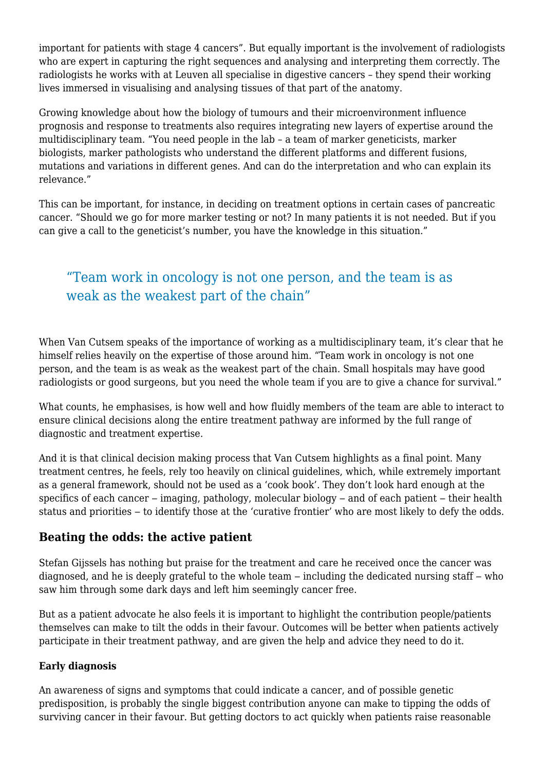important for patients with stage 4 cancers". But equally important is the involvement of radiologists who are expert in capturing the right sequences and analysing and interpreting them correctly. The radiologists he works with at Leuven all specialise in digestive cancers – they spend their working lives immersed in visualising and analysing tissues of that part of the anatomy.

Growing knowledge about how the biology of tumours and their microenvironment influence prognosis and response to treatments also requires integrating new layers of expertise around the multidisciplinary team. "You need people in the lab – a team of marker geneticists, marker biologists, marker pathologists who understand the different platforms and different fusions, mutations and variations in different genes. And can do the interpretation and who can explain its relevance."

This can be important, for instance, in deciding on treatment options in certain cases of pancreatic cancer. "Should we go for more marker testing or not? In many patients it is not needed. But if you can give a call to the geneticist's number, you have the knowledge in this situation."

# "Team work in oncology is not one person, and the team is as weak as the weakest part of the chain"

When Van Cutsem speaks of the importance of working as a multidisciplinary team, it's clear that he himself relies heavily on the expertise of those around him. "Team work in oncology is not one person, and the team is as weak as the weakest part of the chain. Small hospitals may have good radiologists or good surgeons, but you need the whole team if you are to give a chance for survival."

What counts, he emphasises, is how well and how fluidly members of the team are able to interact to ensure clinical decisions along the entire treatment pathway are informed by the full range of diagnostic and treatment expertise.

And it is that clinical decision making process that Van Cutsem highlights as a final point. Many treatment centres, he feels, rely too heavily on clinical guidelines, which, while extremely important as a general framework, should not be used as a 'cook book'. They don't look hard enough at the specifics of each cancer  $-$  imaging, pathology, molecular biology  $-$  and of each patient  $-$  their health status and priorities – to identify those at the 'curative frontier' who are most likely to defy the odds.

# **Beating the odds: the active patient**

Stefan Gijssels has nothing but praise for the treatment and care he received once the cancer was diagnosed, and he is deeply grateful to the whole team – including the dedicated nursing staff – who saw him through some dark days and left him seemingly cancer free.

But as a patient advocate he also feels it is important to highlight the contribution people/patients themselves can make to tilt the odds in their favour. Outcomes will be better when patients actively participate in their treatment pathway, and are given the help and advice they need to do it.

### **Early diagnosis**

An awareness of signs and symptoms that could indicate a cancer, and of possible genetic predisposition, is probably the single biggest contribution anyone can make to tipping the odds of surviving cancer in their favour. But getting doctors to act quickly when patients raise reasonable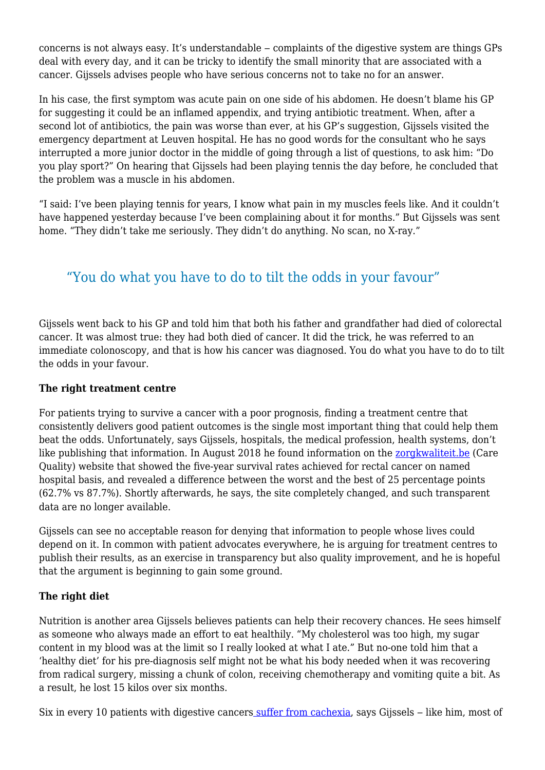concerns is not always easy. It's understandable – complaints of the digestive system are things GPs deal with every day, and it can be tricky to identify the small minority that are associated with a cancer. Gijssels advises people who have serious concerns not to take no for an answer.

In his case, the first symptom was acute pain on one side of his abdomen. He doesn't blame his GP for suggesting it could be an inflamed appendix, and trying antibiotic treatment. When, after a second lot of antibiotics, the pain was worse than ever, at his GP's suggestion, Gijssels visited the emergency department at Leuven hospital. He has no good words for the consultant who he says interrupted a more junior doctor in the middle of going through a list of questions, to ask him: "Do you play sport?" On hearing that Gijssels had been playing tennis the day before, he concluded that the problem was a muscle in his abdomen.

"I said: I've been playing tennis for years, I know what pain in my muscles feels like. And it couldn't have happened yesterday because I've been complaining about it for months." But Gijssels was sent home. "They didn't take me seriously. They didn't do anything. No scan, no X-ray."

# "You do what you have to do to tilt the odds in your favour"

Gijssels went back to his GP and told him that both his father and grandfather had died of colorectal cancer. It was almost true: they had both died of cancer. It did the trick, he was referred to an immediate colonoscopy, and that is how his cancer was diagnosed. You do what you have to do to tilt the odds in your favour.

#### **The right treatment centre**

For patients trying to survive a cancer with a poor prognosis, finding a treatment centre that consistently delivers good patient outcomes is the single most important thing that could help them beat the odds. Unfortunately, says Gijssels, hospitals, the medical profession, health systems, don't like publishing that information. In August 2018 he found information on the zorgkwaliteit. be (Care Quality) website that showed the five-year survival rates achieved for rectal cancer on named hospital basis, and revealed a difference between the worst and the best of 25 percentage points (62.7% vs 87.7%). Shortly afterwards, he says, the site completely changed, and such transparent data are no longer available.

Gijssels can see no acceptable reason for denying that information to people whose lives could depend on it. In common with patient advocates everywhere, he is arguing for treatment centres to publish their results, as an exercise in transparency but also quality improvement, and he is hopeful that the argument is beginning to gain some ground.

### **The right diet**

Nutrition is another area Gijssels believes patients can help their recovery chances. He sees himself as someone who always made an effort to eat healthily. "My cholesterol was too high, my sugar content in my blood was at the limit so I really looked at what I ate." But no-one told him that a 'healthy diet' for his pre-diagnosis self might not be what his body needed when it was recovering from radical surgery, missing a chunk of colon, receiving chemotherapy and vomiting quite a bit. As a result, he lost 15 kilos over six months.

Six in every 10 patients with digestive cancers [suffer from cachexia](https://www.oncotarget.com/article/20168/text/), says Gijssels – like him, most of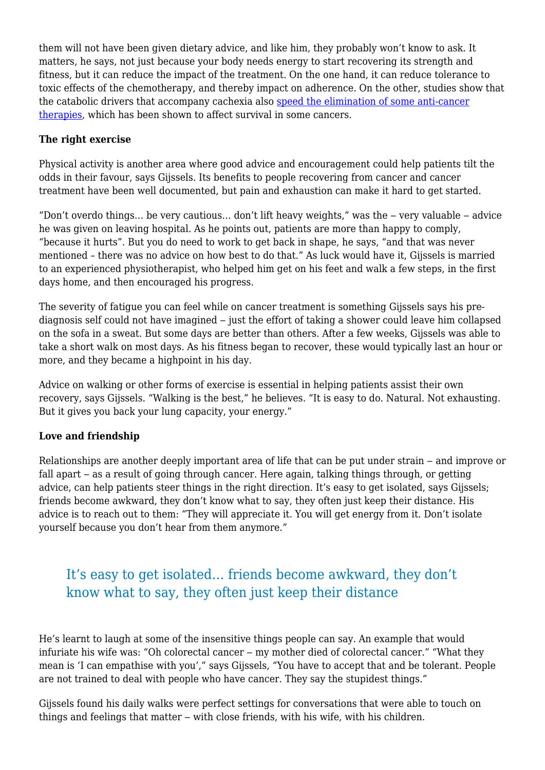them will not have been given dietary advice, and like him, they probably won't know to ask. It matters, he says, not just because your body needs energy to start recovering its strength and fitness, but it can reduce the impact of the treatment. On the one hand, it can reduce tolerance to toxic effects of the chemotherapy, and thereby impact on adherence. On the other, studies show that the catabolic drivers that accompany cachexia also [speed the elimination of some anti-cancer](https://clincancerres.aacrjournals.org/content/24/23/5841) [therapies,](https://clincancerres.aacrjournals.org/content/24/23/5841) which has been shown to affect survival in some cancers.

### **The right exercise**

Physical activity is another area where good advice and encouragement could help patients tilt the odds in their favour, says Gijssels. Its benefits to people recovering from cancer and cancer treatment have been well documented, but pain and exhaustion can make it hard to get started.

"Don't overdo things... be very cautious... don't lift heavy weights." was the – very valuable – advice he was given on leaving hospital. As he points out, patients are more than happy to comply, "because it hurts". But you do need to work to get back in shape, he says, "and that was never mentioned – there was no advice on how best to do that." As luck would have it, Gijssels is married to an experienced physiotherapist, who helped him get on his feet and walk a few steps, in the first days home, and then encouraged his progress.

The severity of fatigue you can feel while on cancer treatment is something Gijssels says his prediagnosis self could not have imagined – just the effort of taking a shower could leave him collapsed on the sofa in a sweat. But some days are better than others. After a few weeks, Gijssels was able to take a short walk on most days. As his fitness began to recover, these would typically last an hour or more, and they became a highpoint in his day.

Advice on walking or other forms of exercise is essential in helping patients assist their own recovery, says Gijssels. "Walking is the best," he believes. "It is easy to do. Natural. Not exhausting. But it gives you back your lung capacity, your energy."

#### **Love and friendship**

Relationships are another deeply important area of life that can be put under strain – and improve or fall apart – as a result of going through cancer. Here again, talking things through, or getting advice, can help patients steer things in the right direction. It's easy to get isolated, says Gijssels; friends become awkward, they don't know what to say, they often just keep their distance. His advice is to reach out to them: "They will appreciate it. You will get energy from it. Don't isolate yourself because you don't hear from them anymore."

# It's easy to get isolated… friends become awkward, they don't know what to say, they often just keep their distance

He's learnt to laugh at some of the insensitive things people can say. An example that would infuriate his wife was: "Oh colorectal cancer – my mother died of colorectal cancer." "What they mean is 'I can empathise with you'," says Gijssels, "You have to accept that and be tolerant. People are not trained to deal with people who have cancer. They say the stupidest things."

Gijssels found his daily walks were perfect settings for conversations that were able to touch on things and feelings that matter – with close friends, with his wife, with his children.